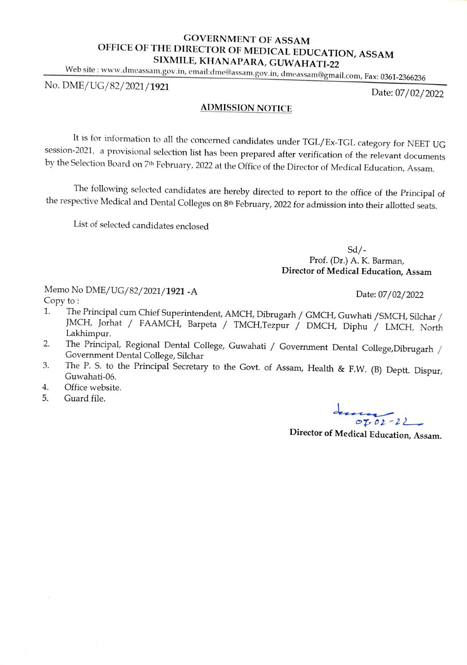## GOVERNMENT OF ASSAM OFFICE OF THE DIRECTOR OF MEDICAL EDUCATION, ASSAM SIXMILE, KHANAPARA, GUWAHATI-22

Web site: www.dmeassam.gov.in, email:dme@assam.gov.in, dmeassam@gmail.com, Fax: 0361-2366236

No. DME/UG/82/2021/1921

Date: 07/02/2022

## ADMISSION NOTICE

It is for information to all the concerned candidates under TGL/Ex-TGL category for NEET UG session-2021, a provisional selection list has been prepared after verification of the relevant documents by the Selection Board on 7th February, 2022 at the Office of the Director of Medical Education, Assam.

The following selected candidates are hereby directed to report to the office of the Principal of the respective Medical and Dental Colleges on 8th February, 2022 for admission into their allotted seats.

List of selected candidates enclosed

 $Sd$  /-Prof. (Dr.) A. K. Barman, Director of Medical Education, Assam

Memo No DME/UG/82/2021/**1921 -A** Date: 07/02/2022 Copy to

- The Principal cum Chief Superintendent, AMCH, Dibrugarh / GMCH, Guwhati / SMCH, Silchar /<br>JMCH, Jorhat / FAAMCH, Barpeta / TMCH,Tezpur / DMCH, Diphu / LMCH, North Lakhimpur. 1.
- The Principal, Regional Dental College, Guwahati / Government Dental College,Dibrugarh / Government Dental College, Silchar 2.
- The P. S. to the Principal Secretary to the Govt. of Assam, Health & F.W. (B) Deptt. Dispur, 3. Guwahati-06.
- . Office website.
- 5. Guard file.

 $O_{102 - 22}$ 

Director of Medical Education, Assam.